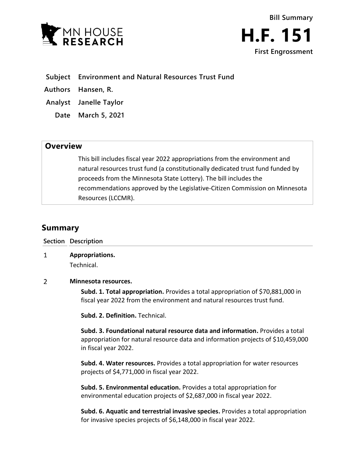



- **Subject Environment and Natural Resources Trust Fund**
- **Authors Hansen, R.**
- **Analyst Janelle Taylor**
	- **Date March 5, 2021**

## **Overview**

This bill includes fiscal year 2022 appropriations from the environment and natural resources trust fund (a constitutionally dedicated trust fund funded by proceeds from the Minnesota State Lottery). The bill includes the recommendations approved by the Legislative-Citizen Commission on Minnesota Resources (LCCMR).

## **Summary**

**Section Description**

 $\mathbf{1}$ **Appropriations.** Technical.

## $\overline{2}$ **Minnesota resources.**

**Subd. 1. Total appropriation.** Provides a total appropriation of \$70,881,000 in fiscal year 2022 from the environment and natural resources trust fund.

**Subd. 2. Definition.** Technical.

**Subd. 3. Foundational natural resource data and information.** Provides a total appropriation for natural resource data and information projects of \$10,459,000 in fiscal year 2022.

**Subd. 4. Water resources.** Provides a total appropriation for water resources projects of \$4,771,000 in fiscal year 2022.

**Subd. 5. Environmental education.** Provides a total appropriation for environmental education projects of \$2,687,000 in fiscal year 2022.

**Subd. 6. Aquatic and terrestrial invasive species.** Provides a total appropriation for invasive species projects of \$6,148,000 in fiscal year 2022.